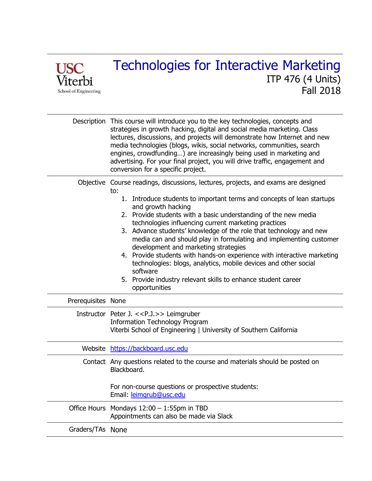

|                    | Description This course will introduce you to the key technologies, concepts and<br>strategies in growth hacking, digital and social media marketing. Class<br>lectures, discussions, and projects will demonstrate how Internet and new<br>media technologies (blogs, wikis, social networks, communities, search<br>engines, crowdfunding) are increasingly being used in marketing and<br>advertising. For your final project, you will drive traffic, engagement and<br>conversion for a specific project.                                                                                                                                                                                                                                       |
|--------------------|------------------------------------------------------------------------------------------------------------------------------------------------------------------------------------------------------------------------------------------------------------------------------------------------------------------------------------------------------------------------------------------------------------------------------------------------------------------------------------------------------------------------------------------------------------------------------------------------------------------------------------------------------------------------------------------------------------------------------------------------------|
|                    | Objective Course readings, discussions, lectures, projects, and exams are designed<br>to:<br>1. Introduce students to important terms and concepts of lean startups<br>and growth hacking<br>2. Provide students with a basic understanding of the new media<br>technologies influencing current marketing practices<br>3. Advance students' knowledge of the role that technology and new<br>media can and should play in formulating and implementing customer<br>development and marketing strategies<br>4. Provide students with hands-on experience with interactive marketing<br>technologies: blogs, analytics, mobile devices and other social<br>software<br>5. Provide industry relevant skills to enhance student career<br>opportunities |
| Prerequisites None |                                                                                                                                                                                                                                                                                                                                                                                                                                                                                                                                                                                                                                                                                                                                                      |
|                    | Instructor Peter J. << P.J.>> Leimgruber<br><b>Information Technology Program</b><br>Viterbi School of Engineering   University of Southern California                                                                                                                                                                                                                                                                                                                                                                                                                                                                                                                                                                                               |
|                    | Website https://backboard.usc.edu                                                                                                                                                                                                                                                                                                                                                                                                                                                                                                                                                                                                                                                                                                                    |
|                    | Contact Any questions related to the course and materials should be posted on<br>Blackboard.<br>For non-course questions or prospective students:<br>Email: leimgrub@usc.edu                                                                                                                                                                                                                                                                                                                                                                                                                                                                                                                                                                         |
|                    | Office Hours Mondays 12:00 - 1:55pm in TBD<br>Appointments can also be made via Slack                                                                                                                                                                                                                                                                                                                                                                                                                                                                                                                                                                                                                                                                |
| Graders/TAs None   |                                                                                                                                                                                                                                                                                                                                                                                                                                                                                                                                                                                                                                                                                                                                                      |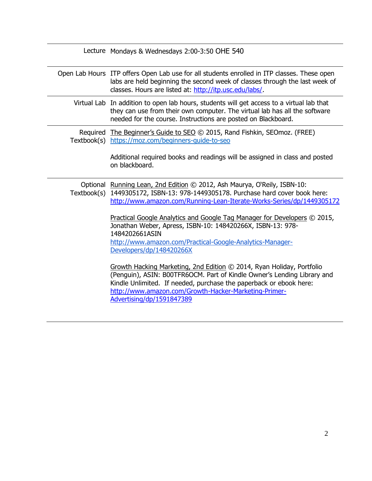|             | Lecture Mondays & Wednesdays 2:00-3:50 OHE 540                                                                                                                                                                                                                                                               |
|-------------|--------------------------------------------------------------------------------------------------------------------------------------------------------------------------------------------------------------------------------------------------------------------------------------------------------------|
|             | Open Lab Hours ITP offers Open Lab use for all students enrolled in ITP classes. These open<br>labs are held beginning the second week of classes through the last week of<br>classes. Hours are listed at: http://itp.usc.edu/labs/.                                                                        |
|             | Virtual Lab In addition to open lab hours, students will get access to a virtual lab that<br>they can use from their own computer. The virtual lab has all the software<br>needed for the course. Instructions are posted on Blackboard.                                                                     |
|             | Required The Beginner's Guide to SEO © 2015, Rand Fishkin, SEOmoz. (FREE)<br>Textbook(s) https://moz.com/beginners-guide-to-seo                                                                                                                                                                              |
|             | Additional required books and readings will be assigned in class and posted<br>on blackboard.                                                                                                                                                                                                                |
| Textbook(s) | Optional Running Lean, 2nd Edition © 2012, Ash Maurya, O'Reily, ISBN-10:<br>1449305172, ISBN-13: 978-1449305178. Purchase hard cover book here:<br>http://www.amazon.com/Running-Lean-Iterate-Works-Series/dp/1449305172                                                                                     |
|             | Practical Google Analytics and Google Tag Manager for Developers © 2015,<br>Jonathan Weber, Apress, ISBN-10: 148420266X, ISBN-13: 978-<br>1484202661ASIN                                                                                                                                                     |
|             | http://www.amazon.com/Practical-Google-Analytics-Manager-<br>Developers/dp/148420266X                                                                                                                                                                                                                        |
|             | Growth Hacking Marketing, 2nd Edition © 2014, Ryan Holiday, Portfolio<br>(Penguin), ASIN: B00TFR6OCM. Part of Kindle Owner's Lending Library and<br>Kindle Unlimited. If needed, purchase the paperback or ebook here:<br>http://www.amazon.com/Growth-Hacker-Marketing-Primer-<br>Advertising/dp/1591847389 |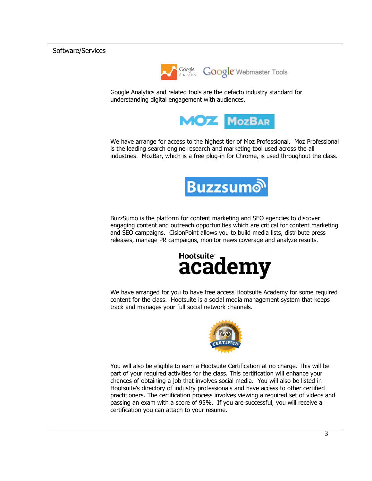## Software/Services



Google Analytics and related tools are the defacto industry standard for understanding digital engagement with audiences.



We have arrange for access to the highest tier of Moz Professional. Moz Professional is the leading search engine research and marketing tool used across the all industries. MozBar, which is a free plug-in for Chrome, is used throughout the class.



BuzzSumo is the platform for content marketing and SEO agencies to discover engaging content and outreach opportunities which are critical for content marketing and SEO campaigns. CisionPoint allows you to build media lists, distribute press releases, manage PR campaigns, monitor news coverage and analyze results.



We have arranged for you to have free access Hootsuite Academy for some required content for the class. Hootsuite is a social media management system that keeps track and manages your full social network channels.



You will also be eligible to earn a Hootsuite Certification at no charge. This will be part of your required activities for the class. This certification will enhance your chances of obtaining a job that involves social media. You will also be listed in Hootsuite's directory of industry professionals and have access to other certified practitioners. The certification process involves viewing a required set of videos and passing an exam with a score of 95%. If you are successful, you will receive a certification you can attach to your resume.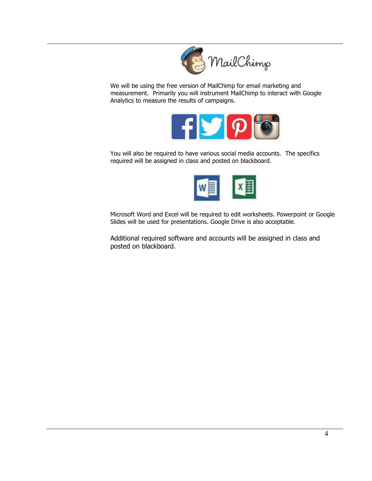

We will be using the free version of MailChimp for email marketing and measurement. Primarily you will instrument MailChimp to interact with Google Analytics to measure the results of campaigns.



You will also be required to have various social media accounts. The specifics required will be assigned in class and posted on blackboard.



Microsoft Word and Excel will be required to edit worksheets. Powerpoint or Google Slides will be used for presentations. Google Drive is also acceptable.

Additional required software and accounts will be assigned in class and posted on blackboard.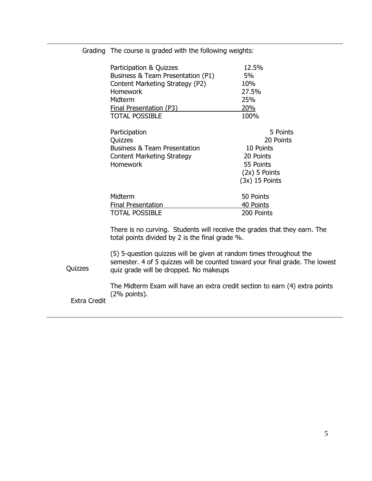| Participation & Quizzes                                                   | 12.5%            |
|---------------------------------------------------------------------------|------------------|
| Business & Team Presentation (P1)                                         | 5%               |
| Content Marketing Strategy (P2)                                           | 10%              |
| <b>Homework</b>                                                           | 27.5%            |
| Midterm                                                                   | 25%              |
| <b>Final Presentation (P3)</b>                                            | <u>20%</u>       |
| <b>TOTAL POSSIBLE</b>                                                     | 100%             |
| Participation                                                             | 5 Points         |
| Quizzes                                                                   | 20 Points        |
| <b>Business &amp; Team Presentation</b>                                   | 10 Points        |
| <b>Content Marketing Strategy</b>                                         | 20 Points        |
| <b>Homework</b>                                                           | 55 Points        |
|                                                                           | $(2x)$ 5 Points  |
|                                                                           | $(3x)$ 15 Points |
| Midterm                                                                   | 50 Points        |
| Final Presentation                                                        | 40 Points        |
| <b>TOTAL POSSIBLE</b>                                                     | 200 Points       |
| There is no curving. Students will receive the grades that they earn. The |                  |

Grading The course is graded with the following weights:

total points divided by 2 is the final grade %.

Quizzes (5) 5-question quizzes will be given at random times throughout the semester. 4 of 5 quizzes will be counted toward your final grade. The lowest quiz grade will be dropped. No makeups

> The Midterm Exam will have an extra credit section to earn (4) extra points (2% points).

Extra Credit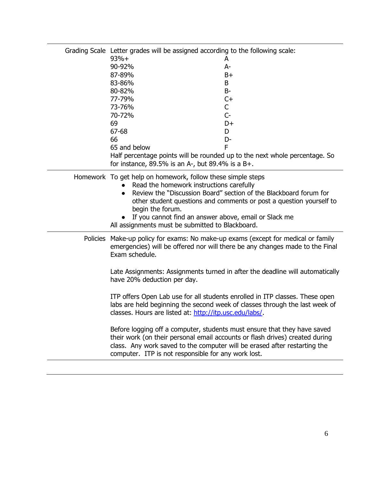| Grading Scale Letter grades will be assigned according to the following scale:<br>$93%+$<br>90-92%<br>87-89%<br>83-86%<br>80-82%<br>77-79%<br>73-76%<br>70-72%<br>69<br>67-68<br>66<br>65 and below<br>for instance, $89.5\%$ is an A-, but $89.4\%$ is a B+.                                                                                                                                     | A<br>A-<br>$B+$<br>B<br>$B-$<br>$C+$<br>$\mathsf{C}$<br>$C -$<br>D+<br>D<br>D-<br>F<br>Half percentage points will be rounded up to the next whole percentage. So                                                                                                                                                                                                                                                                                                                                 |
|---------------------------------------------------------------------------------------------------------------------------------------------------------------------------------------------------------------------------------------------------------------------------------------------------------------------------------------------------------------------------------------------------|---------------------------------------------------------------------------------------------------------------------------------------------------------------------------------------------------------------------------------------------------------------------------------------------------------------------------------------------------------------------------------------------------------------------------------------------------------------------------------------------------|
| Homework To get help on homework, follow these simple steps<br>Read the homework instructions carefully<br>Review the "Discussion Board" section of the Blackboard forum for<br>$\bullet$<br>other student questions and comments or post a question yourself to<br>begin the forum.<br>If you cannot find an answer above, email or Slack me<br>All assignments must be submitted to Blackboard. |                                                                                                                                                                                                                                                                                                                                                                                                                                                                                                   |
| Exam schedule.<br>have 20% deduction per day.<br>classes. Hours are listed at: http://itp.usc.edu/labs/<br>Before logging off a computer, students must ensure that they have saved<br>class. Any work saved to the computer will be erased after restarting the<br>computer. ITP is not responsible for any work lost.                                                                           | Policies Make-up policy for exams: No make-up exams (except for medical or family<br>emergencies) will be offered nor will there be any changes made to the Final<br>Late Assignments: Assignments turned in after the deadline will automatically<br>ITP offers Open Lab use for all students enrolled in ITP classes. These open<br>labs are held beginning the second week of classes through the last week of<br>their work (on their personal email accounts or flash drives) created during |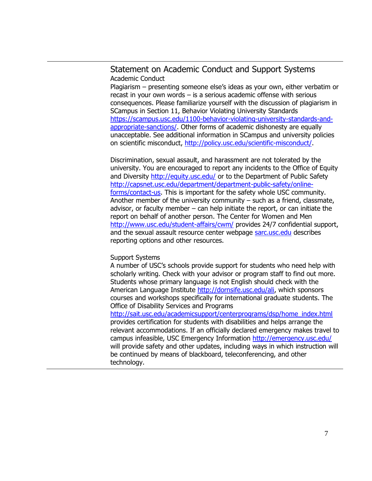## Statement on Academic Conduct and Support Systems Academic Conduct

Plagiarism – presenting someone else's ideas as your own, either verbatim or recast in your own words – is a serious academic offense with serious consequences. Please familiarize yourself with the discussion of plagiarism in SCampus in Section 11, Behavior Violating University Standards [https://scampus.usc.edu/1100-behavior-violating-university-standards-and](https://scampus.usc.edu/1100-behavior-violating-university-standards-and-appropriate-sanctions/)[appropriate-sanctions/.](https://scampus.usc.edu/1100-behavior-violating-university-standards-and-appropriate-sanctions/) Other forms of academic dishonesty are equally unacceptable. See additional information in SCampus and university policies on scientific misconduct, [http://policy.usc.edu/scientific-misconduct/.](http://policy.usc.edu/scientific-misconduct/)

Discrimination, sexual assault, and harassment are not tolerated by the university. You are encouraged to report any incidents to the Office of Equity and Diversity <http://equity.usc.edu/> or to the Department of Public Safety [http://capsnet.usc.edu/department/department-public-safety/online](http://capsnet.usc.edu/department/department-public-safety/online-forms/contact-us)[forms/contact-us.](http://capsnet.usc.edu/department/department-public-safety/online-forms/contact-us) This is important for the safety whole USC community. Another member of the university community – such as a friend, classmate, advisor, or faculty member – can help initiate the report, or can initiate the report on behalf of another person. The Center for Women and Men <http://www.usc.edu/student-affairs/cwm/> provides 24/7 confidential support, and the sexual assault resource center webpage [sarc.usc.edu](http://sarc.usc.edu/) describes reporting options and other resources.

## Support Systems

A number of USC's schools provide support for students who need help with scholarly writing. Check with your advisor or program staff to find out more. Students whose primary language is not English should check with the American Language Institute [http://dornsife.usc.edu/ali,](http://dornsife.usc.edu/ali) which sponsors courses and workshops specifically for international graduate students. The Office of Disability Services and Programs

[http://sait.usc.edu/academicsupport/centerprograms/dsp/home\\_index.html](http://sait.usc.edu/academicsupport/centerprograms/dsp/home_index.html) provides certification for students with disabilities and helps arrange the relevant accommodations. If an officially declared emergency makes travel to campus infeasible, USC Emergency Information <http://emergency.usc.edu/> will provide safety and other updates, including ways in which instruction will be continued by means of blackboard, teleconferencing, and other technology.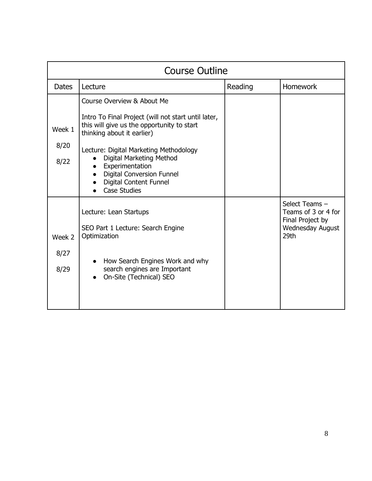| <b>Course Outline</b>  |                                                                                                                                                                                                                                                                                                                                             |         |                                                                                              |
|------------------------|---------------------------------------------------------------------------------------------------------------------------------------------------------------------------------------------------------------------------------------------------------------------------------------------------------------------------------------------|---------|----------------------------------------------------------------------------------------------|
| <b>Dates</b>           | Lecture                                                                                                                                                                                                                                                                                                                                     | Reading | <b>Homework</b>                                                                              |
| Week 1<br>8/20<br>8/22 | Course Overview & About Me<br>Intro To Final Project (will not start until later,<br>this will give us the opportunity to start<br>thinking about it earlier)<br>Lecture: Digital Marketing Methodology<br>Digital Marketing Method<br>Experimentation<br><b>Digital Conversion Funnel</b><br>Digital Content Funnel<br><b>Case Studies</b> |         |                                                                                              |
| Week 2<br>8/27<br>8/29 | Lecture: Lean Startups<br>SEO Part 1 Lecture: Search Engine<br>Optimization<br>How Search Engines Work and why<br>search engines are Important<br>On-Site (Technical) SEO                                                                                                                                                                   |         | Select Teams -<br>Teams of 3 or 4 for<br>Final Project by<br><b>Wednesday August</b><br>29th |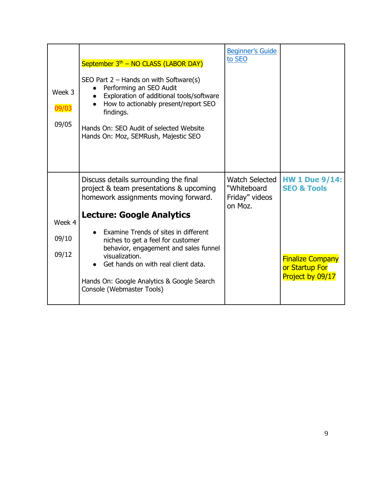| Week 3<br>09/03<br>09/05 | September 3 <sup>th</sup> – NO CLASS (LABOR DAY)<br>SEO Part $2$ – Hands on with Software(s)<br>Performing an SEO Audit<br>Exploration of additional tools/software<br>How to actionably present/report SEO<br>findings.<br>Hands On: SEO Audit of selected Website<br>Hands On: Moz, SEMRush, Majestic SEO                                                                                                            | <b>Beginner's Guide</b><br>to SEO                                 |                                                                                                                  |
|--------------------------|------------------------------------------------------------------------------------------------------------------------------------------------------------------------------------------------------------------------------------------------------------------------------------------------------------------------------------------------------------------------------------------------------------------------|-------------------------------------------------------------------|------------------------------------------------------------------------------------------------------------------|
| Week 4<br>09/10<br>09/12 | Discuss details surrounding the final<br>project & team presentations & upcoming<br>homework assignments moving forward.<br><b>Lecture: Google Analytics</b><br>Examine Trends of sites in different<br>niches to get a feel for customer<br>behavior, engagement and sales funnel<br>visualization.<br>Get hands on with real client data.<br>Hands On: Google Analytics & Google Search<br>Console (Webmaster Tools) | <b>Watch Selected</b><br>"Whiteboard<br>Friday" videos<br>on Moz. | <b>HW 1 Due 9/14:</b><br><b>SEO &amp; Tools</b><br><b>Finalize Company</b><br>or Startup For<br>Project by 09/17 |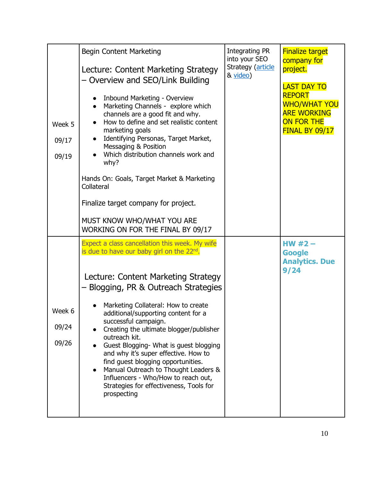| Week 5<br>09/17<br>09/19 | Begin Content Marketing<br>Lecture: Content Marketing Strategy<br>- Overview and SEO/Link Building<br>Inbound Marketing - Overview<br>Marketing Channels - explore which<br>channels are a good fit and why.<br>How to define and set realistic content<br>marketing goals<br>Identifying Personas, Target Market,<br>Messaging & Position<br>Which distribution channels work and<br>why?<br>Hands On: Goals, Target Market & Marketing<br>Collateral<br>Finalize target company for project.<br>MUST KNOW WHO/WHAT YOU ARE<br>WORKING ON FOR THE FINAL BY 09/17                                                   | Integrating PR<br>into your SEO<br>Strategy (article<br>& video) | <b>Finalize target</b><br>company for<br>project.<br><b>LAST DAY TO</b><br><b>REPORT</b><br><b>WHO/WHAT YOU</b><br><b>ARE WORKING</b><br><b>ON FOR THE</b><br><b>FINAL BY 09/17</b> |
|--------------------------|---------------------------------------------------------------------------------------------------------------------------------------------------------------------------------------------------------------------------------------------------------------------------------------------------------------------------------------------------------------------------------------------------------------------------------------------------------------------------------------------------------------------------------------------------------------------------------------------------------------------|------------------------------------------------------------------|-------------------------------------------------------------------------------------------------------------------------------------------------------------------------------------|
| Week 6<br>09/24<br>09/26 | Expect a class cancellation this week. My wife<br>is due to have our baby girl on the $22^{nd}$ .<br>Lecture: Content Marketing Strategy<br>- Blogging, PR & Outreach Strategies<br>Marketing Collateral: How to create<br>additional/supporting content for a<br>successful campaign.<br>Creating the ultimate blogger/publisher<br>outreach kit.<br>Guest Blogging- What is guest blogging<br>and why it's super effective. How to<br>find guest blogging opportunities.<br>Manual Outreach to Thought Leaders &<br>Influencers - Who/How to reach out,<br>Strategies for effectiveness, Tools for<br>prospecting |                                                                  | HW $#2-$<br><b>Google</b><br><b>Analytics. Due</b><br>9/24                                                                                                                          |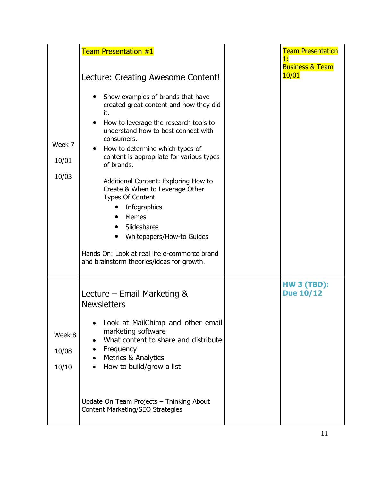| Week 7<br>10/01<br>10/03 | <b>Team Presentation #1</b><br>Lecture: Creating Awesome Content!<br>Show examples of brands that have<br>created great content and how they did<br>it.<br>How to leverage the research tools to<br>understand how to best connect with<br>consumers.<br>How to determine which types of<br>content is appropriate for various types<br>of brands.<br>Additional Content: Exploring How to<br>Create & When to Leverage Other<br><b>Types Of Content</b><br>Infographics<br>Memes<br>Slideshares<br>Whitepapers/How-to Guides<br>$\bullet$<br>Hands On: Look at real life e-commerce brand<br>and brainstorm theories/ideas for growth. | <b>Team Presentation</b><br>1:<br><b>Business &amp; Team</b><br>10/01 |
|--------------------------|-----------------------------------------------------------------------------------------------------------------------------------------------------------------------------------------------------------------------------------------------------------------------------------------------------------------------------------------------------------------------------------------------------------------------------------------------------------------------------------------------------------------------------------------------------------------------------------------------------------------------------------------|-----------------------------------------------------------------------|
| Week 8<br>10/08<br>10/10 | Lecture – Email Marketing $\&$<br><b>Newsletters</b><br>Look at MailChimp and other email<br>marketing software<br>What content to share and distribute<br>Frequency<br>Metrics & Analytics<br>How to build/grow a list<br>Update On Team Projects - Thinking About<br>Content Marketing/SEO Strategies                                                                                                                                                                                                                                                                                                                                 | <b>HW 3 (TBD):</b><br><b>Due 10/12</b>                                |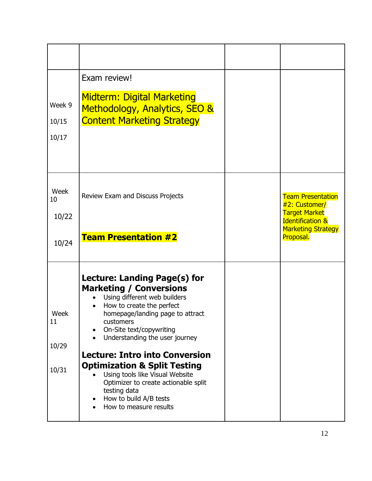| Week 9<br>10/15<br>10/17     | Exam review!<br><b>Midterm: Digital Marketing</b><br>Methodology, Analytics, SEO &<br><b>Content Marketing Strategy</b>                                                                                                                                                                                                                                                                                                                                                       |                                                                                                                                            |
|------------------------------|-------------------------------------------------------------------------------------------------------------------------------------------------------------------------------------------------------------------------------------------------------------------------------------------------------------------------------------------------------------------------------------------------------------------------------------------------------------------------------|--------------------------------------------------------------------------------------------------------------------------------------------|
| Week<br>10<br>10/22<br>10/24 | Review Exam and Discuss Projects<br><b>Team Presentation #2</b>                                                                                                                                                                                                                                                                                                                                                                                                               | <b>Team Presentation</b><br>#2: Customer/<br><b>Target Market</b><br><b>Identification &amp;</b><br><b>Marketing Strategy</b><br>Proposal. |
| Week<br>11<br>10/29<br>10/31 | Lecture: Landing Page(s) for<br><b>Marketing / Conversions</b><br>Using different web builders<br>How to create the perfect<br>homepage/landing page to attract<br>customers<br>On-Site text/copywriting<br>Understanding the user journey<br><b>Lecture: Intro into Conversion</b><br><b>Optimization &amp; Split Testing</b><br>Using tools like Visual Website<br>Optimizer to create actionable split<br>testing data<br>How to build A/B tests<br>How to measure results |                                                                                                                                            |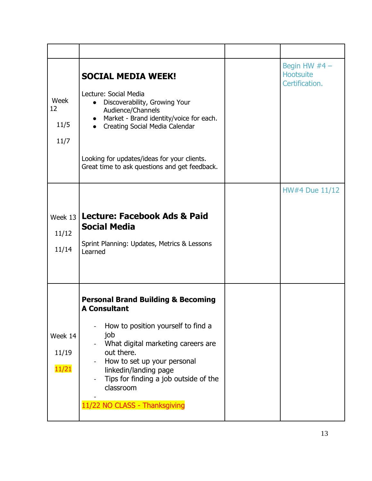| Week<br>12<br>11/5<br>11/7 | <b>SOCIAL MEDIA WEEK!</b><br>Lecture: Social Media<br>Discoverability, Growing Your<br>Audience/Channels<br>Market - Brand identity/voice for each.<br>Creating Social Media Calendar<br>Looking for updates/ideas for your clients.<br>Great time to ask questions and get feedback.                                | Begin HW $#4 -$<br><b>Hootsuite</b><br>Certification. |
|----------------------------|----------------------------------------------------------------------------------------------------------------------------------------------------------------------------------------------------------------------------------------------------------------------------------------------------------------------|-------------------------------------------------------|
| 11/12<br>11/14             | Week 13   Lecture: Facebook Ads & Paid<br><b>Social Media</b><br>Sprint Planning: Updates, Metrics & Lessons<br>Learned                                                                                                                                                                                              | HW#4 Due 11/12                                        |
| Week 14<br>11/19<br>11/21  | <b>Personal Brand Building &amp; Becoming</b><br><b>A Consultant</b><br>How to position yourself to find a<br>job<br>What digital marketing careers are<br>out there.<br>How to set up your personal<br>linkedin/landing page<br>Tips for finding a job outside of the<br>classroom<br>11/22 NO CLASS - Thanksgiving |                                                       |